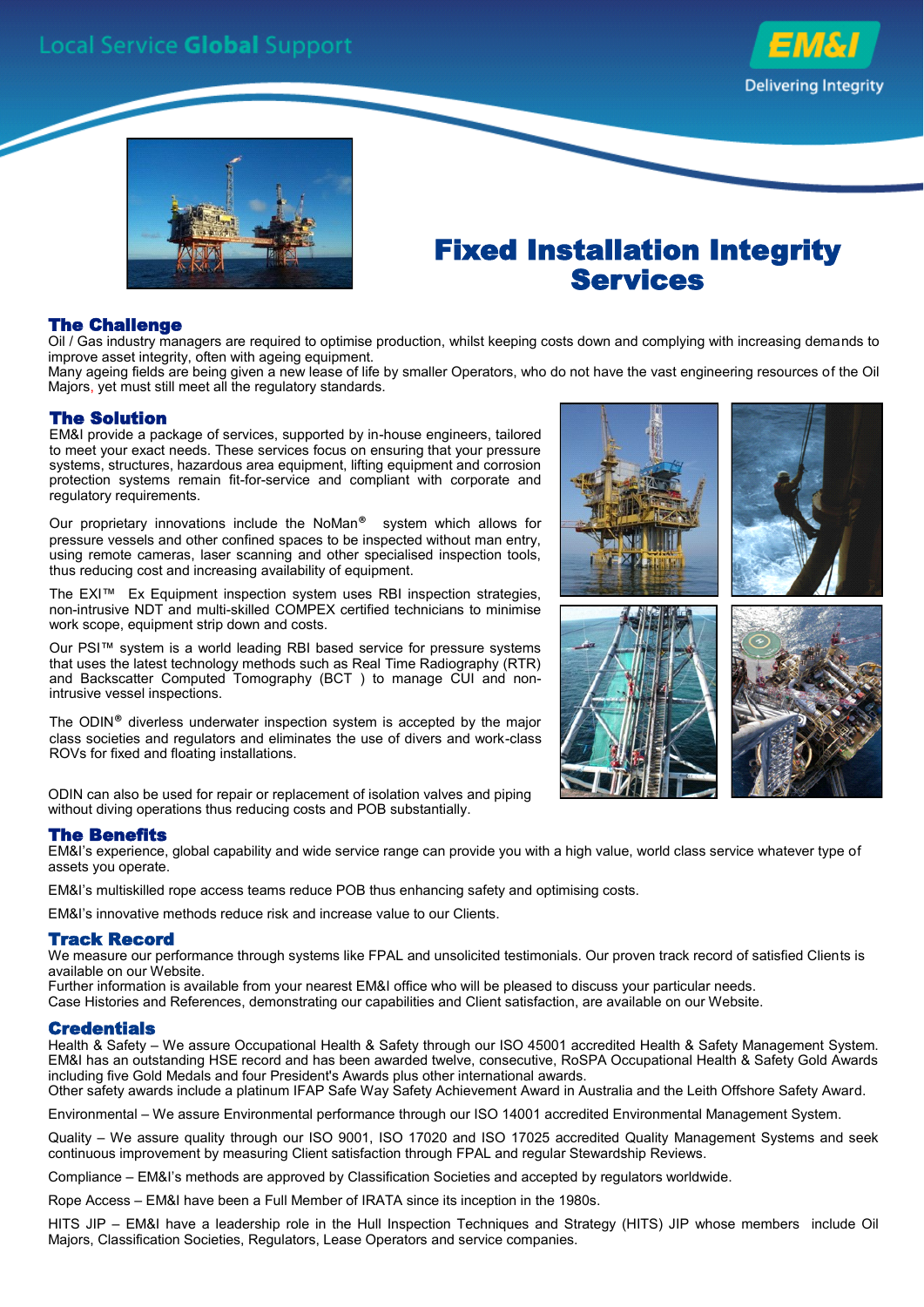



## Fixed Installation Integrity Services

## The Challenge

Oil / Gas industry managers are required to optimise production, whilst keeping costs down and complying with increasing demands to improve asset integrity, often with ageing equipment.

Many ageing fields are being given a new lease of life by smaller Operators, who do not have the vast engineering resources of the Oil Majors, yet must still meet all the regulatory standards.

#### The Solution

EM&I provide a package of services, supported by in-house engineers, tailored to meet your exact needs. These services focus on ensuring that your pressure systems, structures, hazardous area equipment, lifting equipment and corrosion protection systems remain fit-for-service and compliant with corporate and regulatory requirements.

Our proprietary innovations include the NoMan® system which allows for pressure vessels and other confined spaces to be inspected without man entry, using remote cameras, laser scanning and other specialised inspection tools, thus reducing cost and increasing availability of equipment.

The EXI™ Ex Equipment inspection system uses RBI inspection strategies, non-intrusive NDT and multi-skilled COMPEX certified technicians to minimise work scope, equipment strip down and costs.

Our PSI™ system is a world leading RBI based service for pressure systems that uses the latest technology methods such as Real Time Radiography (RTR) and Backscatter Computed Tomography (BCT ) to manage CUI and nonintrusive vessel inspections.

The ODIN® diverless underwater inspection system is accepted by the major class societies and regulators and eliminates the use of divers and work-class ROVs for fixed and floating installations.

ODIN can also be used for repair or replacement of isolation valves and piping without diving operations thus reducing costs and POB substantially.

## The Benefits

EM&I's experience, global capability and wide service range can provide you with a high value, world class service whatever type of assets you operate.

EM&I's multiskilled rope access teams reduce POB thus enhancing safety and optimising costs.

EM&I's innovative methods reduce risk and increase value to our Clients.

#### Track Record

We measure our performance through systems like FPAL and unsolicited testimonials. Our proven track record of satisfied Clients is available on our Website.

Further information is available from your nearest EM&I office who will be pleased to discuss your particular needs.

Case Histories and References, demonstrating our capabilities and Client satisfaction, are available on our Website.

#### **Credentials**

Health & Safety – We assure Occupational Health & Safety through our ISO 45001 accredited Health & Safety Management System. EM&I has an outstanding HSE record and has been awarded twelve, consecutive, RoSPA Occupational Health & Safety Gold Awards including five Gold Medals and four President's Awards plus other international awards.

Other safety awards include a platinum IFAP Safe Way Safety Achievement Award in Australia and the Leith Offshore Safety Award.

Environmental – We assure Environmental performance through our ISO 14001 accredited Environmental Management System.

Quality – We assure quality through our ISO 9001, ISO 17020 and ISO 17025 accredited Quality Management Systems and seek continuous improvement by measuring Client satisfaction through FPAL and regular Stewardship Reviews.

Compliance – EM&I's methods are approved by Classification Societies and accepted by regulators worldwide.

Rope Access – EM&I have been a Full Member of IRATA since its inception in the 1980s.

HITS JIP – EM&I have a leadership role in the Hull Inspection Techniques and Strategy (HITS) JIP whose members include Oil Majors, Classification Societies, Regulators, Lease Operators and service companies.